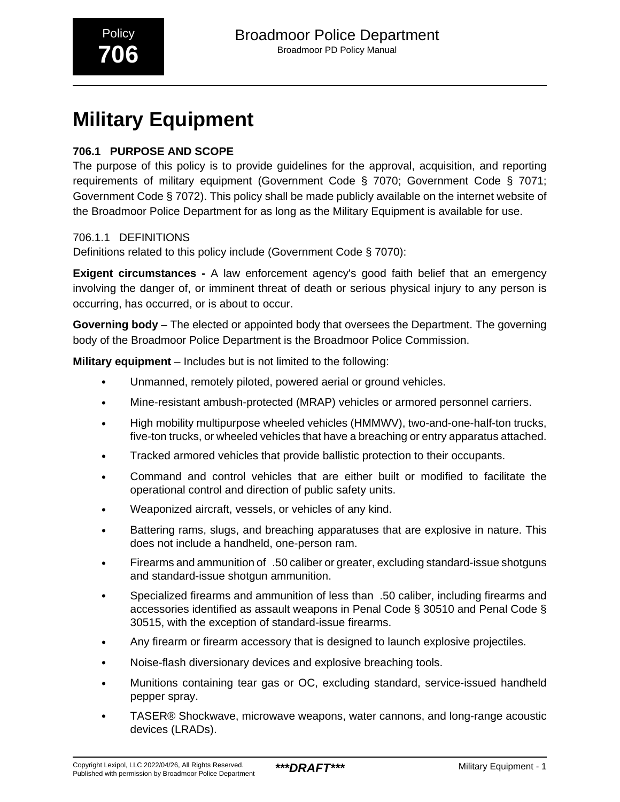# **Military Equipment**

## **706.1 PURPOSE AND SCOPE**

The purpose of this policy is to provide guidelines for the approval, acquisition, and reporting requirements of military equipment (Government Code § 7070; Government Code § 7071; Government Code § 7072). This policy shall be made publicly available on the internet website of the Broadmoor Police Department for as long as the Military Equipment is available for use.

706.1.1 DEFINITIONS

Definitions related to this policy include (Government Code § 7070):

**Exigent circumstances -** A law enforcement agency's good faith belief that an emergency involving the danger of, or imminent threat of death or serious physical injury to any person is occurring, has occurred, or is about to occur.

**Governing body** – The elected or appointed body that oversees the Department. The governing body of the Broadmoor Police Department is the Broadmoor Police Commission.

**Military equipment** – Includes but is not limited to the following:

- Unmanned, remotely piloted, powered aerial or ground vehicles.
- Mine-resistant ambush-protected (MRAP) vehicles or armored personnel carriers.
- High mobility multipurpose wheeled vehicles (HMMWV), two-and-one-half-ton trucks, five-ton trucks, or wheeled vehicles that have a breaching or entry apparatus attached.
- Tracked armored vehicles that provide ballistic protection to their occupants.
- Command and control vehicles that are either built or modified to facilitate the operational control and direction of public safety units.
- Weaponized aircraft, vessels, or vehicles of any kind.
- Battering rams, slugs, and breaching apparatuses that are explosive in nature. This does not include a handheld, one-person ram.
- Firearms and ammunition of\_.50 caliber or greater, excluding standard-issue shotguns and standard-issue shotgun ammunition.
- Specialized firearms and ammunition of less than .50 caliber, including firearms and accessories identified as assault weapons in Penal Code § 30510 and Penal Code § 30515, with the exception of standard-issue firearms.
- Any firearm or firearm accessory that is designed to launch explosive projectiles.
- Noise-flash diversionary devices and explosive breaching tools.
- Munitions containing tear gas or OC, excluding standard, service-issued handheld pepper spray.
- TASER® Shockwave, microwave weapons, water cannons, and long-range acoustic devices (LRADs).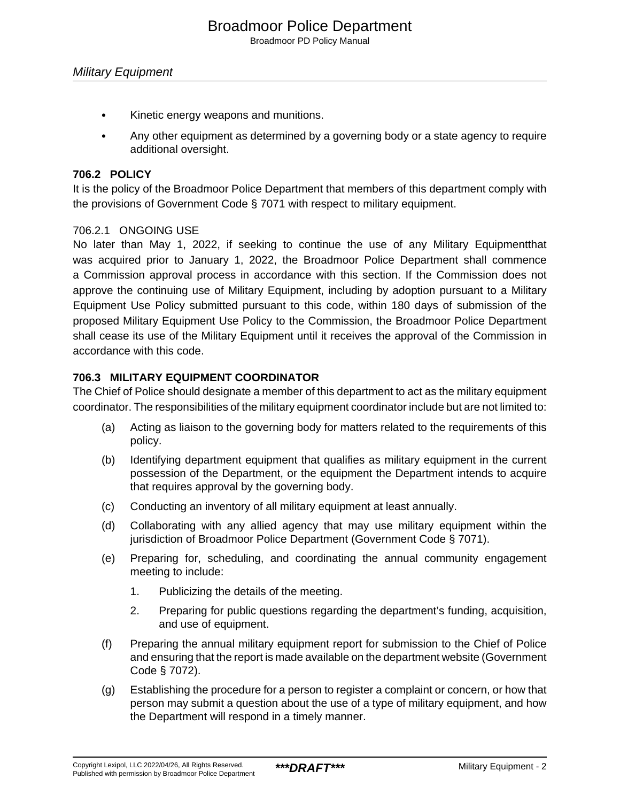Broadmoor PD Policy Manual

- Kinetic energy weapons and munitions.
- Any other equipment as determined by a governing body or a state agency to require additional oversight.

#### **706.2 POLICY**

It is the policy of the Broadmoor Police Department that members of this department comply with the provisions of Government Code § 7071 with respect to military equipment.

#### 706.2.1 ONGOING USE

No later than May 1, 2022, if seeking to continue the use of any Military Equipmentthat was acquired prior to January 1, 2022, the Broadmoor Police Department shall commence a Commission approval process in accordance with this section. If the Commission does not approve the continuing use of Military Equipment, including by adoption pursuant to a Military Equipment Use Policy submitted pursuant to this code, within 180 days of submission of the proposed Military Equipment Use Policy to the Commission, the Broadmoor Police Department shall cease its use of the Military Equipment until it receives the approval of the Commission in accordance with this code.

#### **706.3 MILITARY EQUIPMENT COORDINATOR**

The Chief of Police should designate a member of this department to act as the military equipment coordinator. The responsibilities of the military equipment coordinator include but are not limited to:

- (a) Acting as liaison to the governing body for matters related to the requirements of this policy.
- (b) Identifying department equipment that qualifies as military equipment in the current possession of the Department, or the equipment the Department intends to acquire that requires approval by the governing body.
- (c) Conducting an inventory of all military equipment at least annually.
- (d) Collaborating with any allied agency that may use military equipment within the jurisdiction of Broadmoor Police Department (Government Code § 7071).
- (e) Preparing for, scheduling, and coordinating the annual community engagement meeting to include:
	- 1. Publicizing the details of the meeting.
	- 2. Preparing for public questions regarding the department's funding, acquisition, and use of equipment.
- (f) Preparing the annual military equipment report for submission to the Chief of Police and ensuring that the report is made available on the department website (Government Code § 7072).
- (g) Establishing the procedure for a person to register a complaint or concern, or how that person may submit a question about the use of a type of military equipment, and how the Department will respond in a timely manner.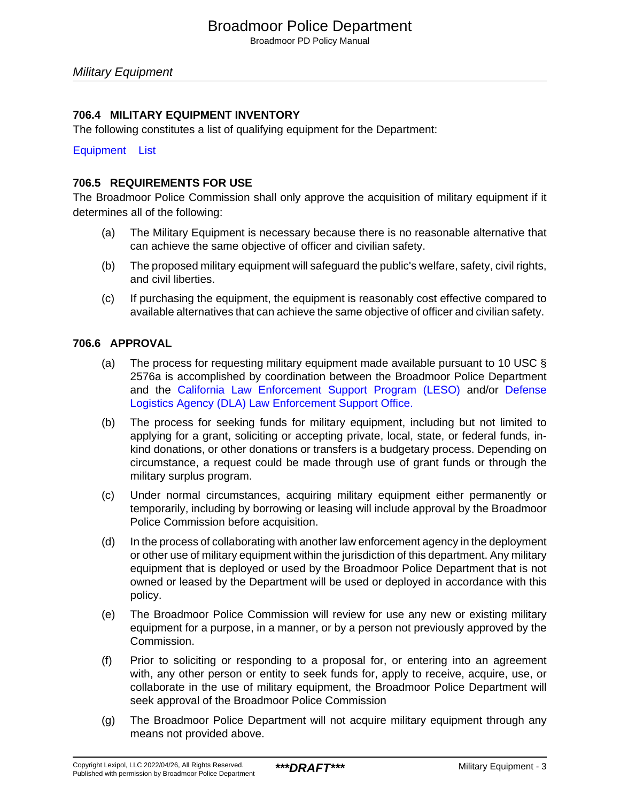Broadmoor PD Policy Manual

### **706.4 MILITARY EQUIPMENT INVENTORY**

The following constitutes a list of qualifying equipment for the Department:

[Equipment List](#page-7-0)

#### **706.5 REQUIREMENTS FOR USE**

The Broadmoor Police Commission shall only approve the acquisition of military equipment if it determines all of the following:

- (a) The Military Equipment is necessary because there is no reasonable alternative that can achieve the same objective of officer and civilian safety.
- (b) The proposed military equipment will safeguard the public's welfare, safety, civil rights, and civil liberties.
- (c) If purchasing the equipment, the equipment is reasonably cost effective compared to available alternatives that can achieve the same objective of officer and civilian safety.

#### **706.6 APPROVAL**

- (a) The process for requesting military equipment made available pursuant to 10 USC § 2576a is accomplished by coordination between the Broadmoor Police Department and the [California Law Enforcement Support Program \(LESO\)](https://www.caloes.ca.gov/cal-oes-divisions/law-enforcement/public-safety-procurement-program/leso-program) and/or [Defense](https://www.dla.mil/DispositionServices/Offers/Reutilization/LawEnforcement.aspx) [Logistics Agency \(DLA\) Law Enforcement Support Office.](https://www.dla.mil/DispositionServices/Offers/Reutilization/LawEnforcement.aspx)
- (b) The process for seeking funds for military equipment, including but not limited to applying for a grant, soliciting or accepting private, local, state, or federal funds, inkind donations, or other donations or transfers is a budgetary process. Depending on circumstance, a request could be made through use of grant funds or through the military surplus program.
- (c) Under normal circumstances, acquiring military equipment either permanently or temporarily, including by borrowing or leasing will include approval by the Broadmoor Police Commission before acquisition.
- (d) In the process of collaborating with another law enforcement agency in the deployment or other use of military equipment within the jurisdiction of this department. Any military equipment that is deployed or used by the Broadmoor Police Department that is not owned or leased by the Department will be used or deployed in accordance with this policy.
- (e) The Broadmoor Police Commission will review for use any new or existing military equipment for a purpose, in a manner, or by a person not previously approved by the Commission.
- (f) Prior to soliciting or responding to a proposal for, or entering into an agreement with, any other person or entity to seek funds for, apply to receive, acquire, use, or collaborate in the use of military equipment, the Broadmoor Police Department will seek approval of the Broadmoor Police Commission
- (g) The Broadmoor Police Department will not acquire military equipment through any means not provided above.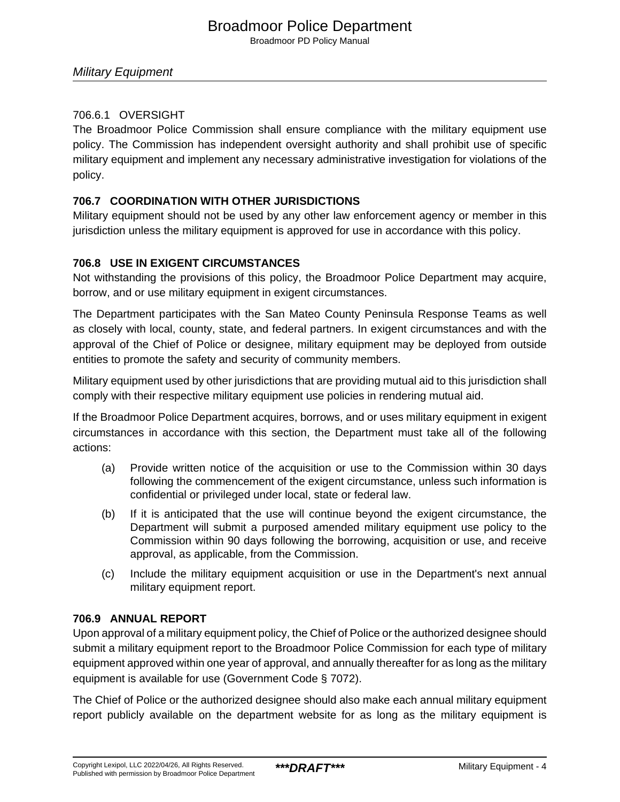# Broadmoor Police Department

Broadmoor PD Policy Manual

#### Military Equipment

## 706.6.1 OVERSIGHT

The Broadmoor Police Commission shall ensure compliance with the military equipment use policy. The Commission has independent oversight authority and shall prohibit use of specific military equipment and implement any necessary administrative investigation for violations of the policy.

### **706.7 COORDINATION WITH OTHER JURISDICTIONS**

Military equipment should not be used by any other law enforcement agency or member in this jurisdiction unless the military equipment is approved for use in accordance with this policy.

### **706.8 USE IN EXIGENT CIRCUMSTANCES**

Not withstanding the provisions of this policy, the Broadmoor Police Department may acquire, borrow, and or use military equipment in exigent circumstances.

The Department participates with the San Mateo County Peninsula Response Teams as well as closely with local, county, state, and federal partners. In exigent circumstances and with the approval of the Chief of Police or designee, military equipment may be deployed from outside entities to promote the safety and security of community members.

Military equipment used by other jurisdictions that are providing mutual aid to this jurisdiction shall comply with their respective military equipment use policies in rendering mutual aid.

If the Broadmoor Police Department acquires, borrows, and or uses military equipment in exigent circumstances in accordance with this section, the Department must take all of the following actions:

- (a) Provide written notice of the acquisition or use to the Commission within 30 days following the commencement of the exigent circumstance, unless such information is confidential or privileged under local, state or federal law.
- (b) If it is anticipated that the use will continue beyond the exigent circumstance, the Department will submit a purposed amended military equipment use policy to the Commission within 90 days following the borrowing, acquisition or use, and receive approval, as applicable, from the Commission.
- (c) Include the military equipment acquisition or use in the Department's next annual military equipment report.

#### **706.9 ANNUAL REPORT**

Upon approval of a military equipment policy, the Chief of Police or the authorized designee should submit a military equipment report to the Broadmoor Police Commission for each type of military equipment approved within one year of approval, and annually thereafter for as long as the military equipment is available for use (Government Code § 7072).

The Chief of Police or the authorized designee should also make each annual military equipment report publicly available on the department website for as long as the military equipment is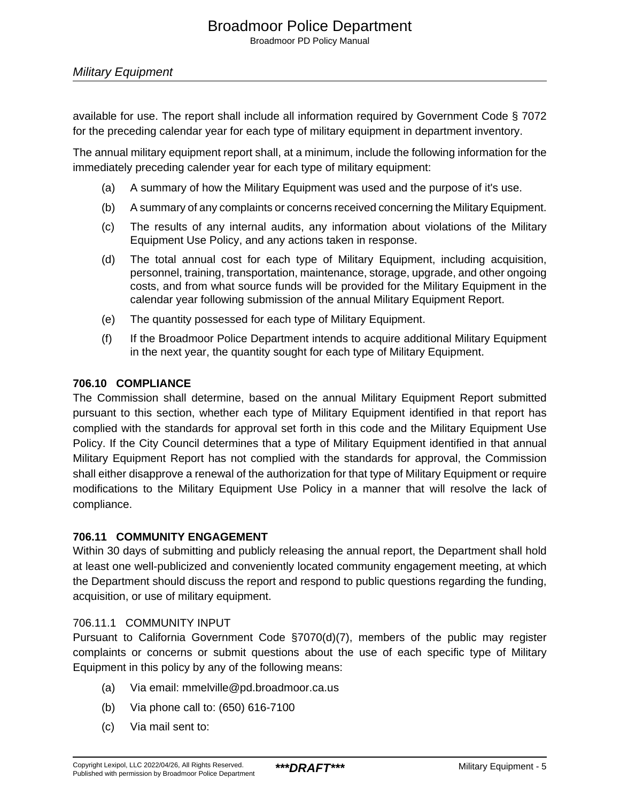Broadmoor PD Policy Manual

available for use. The report shall include all information required by Government Code § 7072 for the preceding calendar year for each type of military equipment in department inventory.

The annual military equipment report shall, at a minimum, include the following information for the immediately preceding calender year for each type of military equipment:

- (a) A summary of how the Military Equipment was used and the purpose of it's use.
- (b) A summary of any complaints or concerns received concerning the Military Equipment.
- (c) The results of any internal audits, any information about violations of the Military Equipment Use Policy, and any actions taken in response.
- (d) The total annual cost for each type of Military Equipment, including acquisition, personnel, training, transportation, maintenance, storage, upgrade, and other ongoing costs, and from what source funds will be provided for the Military Equipment in the calendar year following submission of the annual Military Equipment Report.
- (e) The quantity possessed for each type of Military Equipment.
- (f) If the Broadmoor Police Department intends to acquire additional Military Equipment in the next year, the quantity sought for each type of Military Equipment.

#### **706.10 COMPLIANCE**

The Commission shall determine, based on the annual Military Equipment Report submitted pursuant to this section, whether each type of Military Equipment identified in that report has complied with the standards for approval set forth in this code and the Military Equipment Use Policy. If the City Council determines that a type of Military Equipment identified in that annual Military Equipment Report has not complied with the standards for approval, the Commission shall either disapprove a renewal of the authorization for that type of Military Equipment or require modifications to the Military Equipment Use Policy in a manner that will resolve the lack of compliance.

#### **706.11 COMMUNITY ENGAGEMENT**

Within 30 days of submitting and publicly releasing the annual report, the Department shall hold at least one well-publicized and conveniently located community engagement meeting, at which the Department should discuss the report and respond to public questions regarding the funding, acquisition, or use of military equipment.

#### 706.11.1 COMMUNITY INPUT

Pursuant to California Government Code §7070(d)(7), members of the public may register complaints or concerns or submit questions about the use of each specific type of Military Equipment in this policy by any of the following means:

- (a) Via email: mmelville@pd.broadmoor.ca.us
- (b) Via phone call to: (650) 616-7100
- (c) Via mail sent to: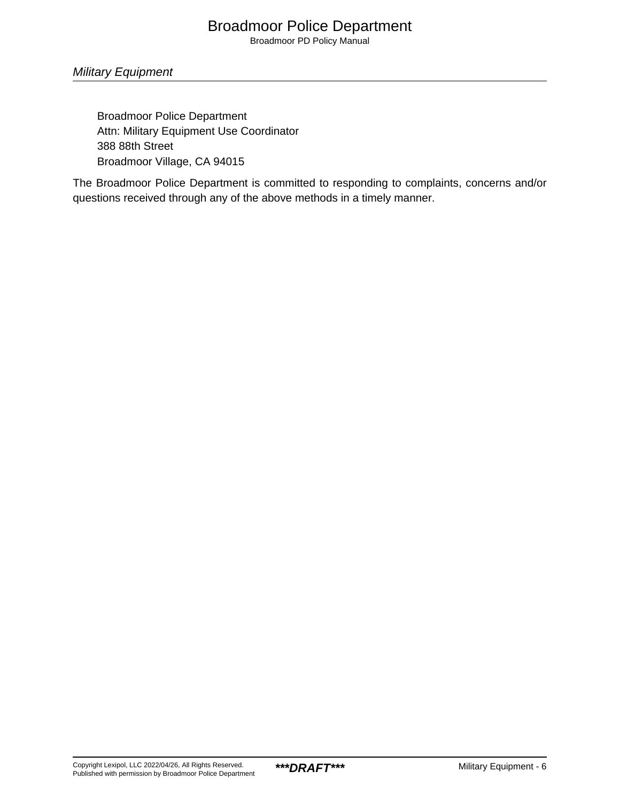# Broadmoor Police Department

Broadmoor PD Policy Manual

### Military Equipment

Broadmoor Police Department Attn: Military Equipment Use Coordinator 388 88th Street Broadmoor Village, CA 94015

The Broadmoor Police Department is committed to responding to complaints, concerns and/or questions received through any of the above methods in a timely manner.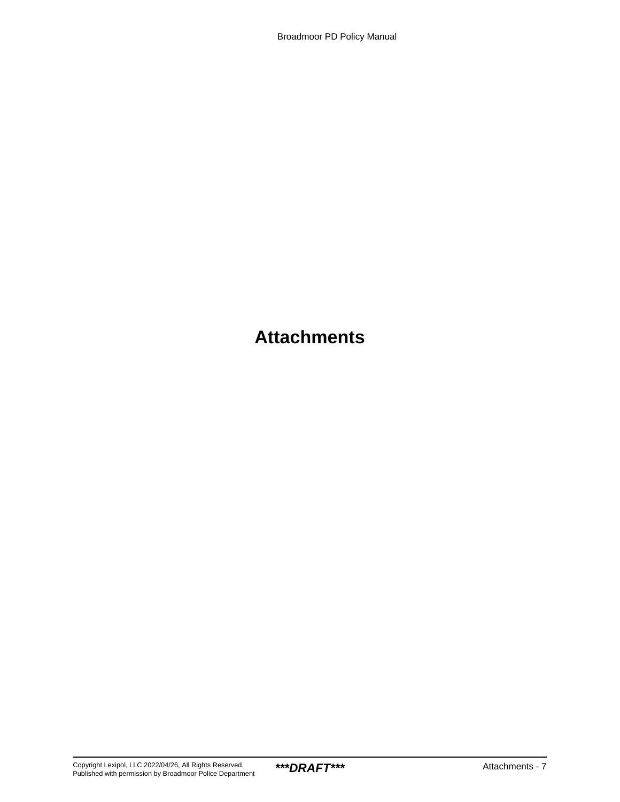# **Attachments**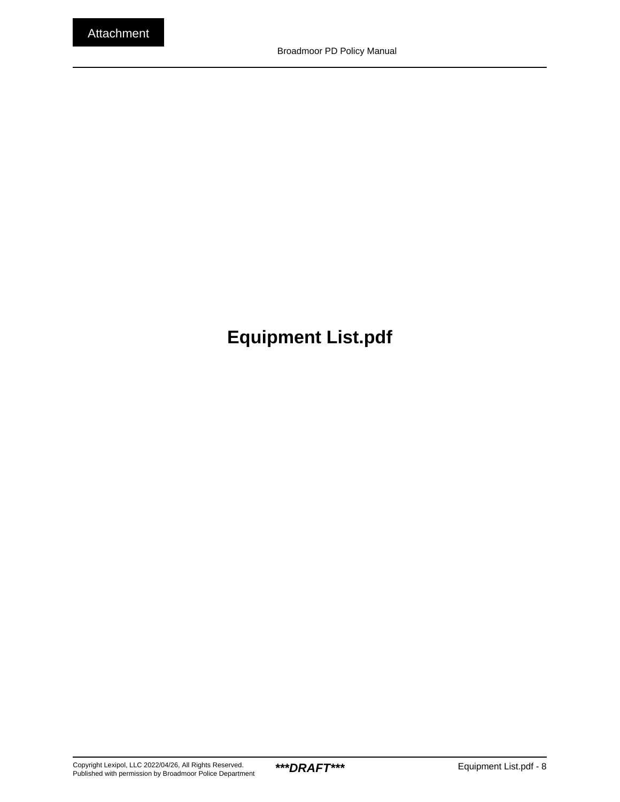# <span id="page-7-0"></span>**Equipment List.pdf**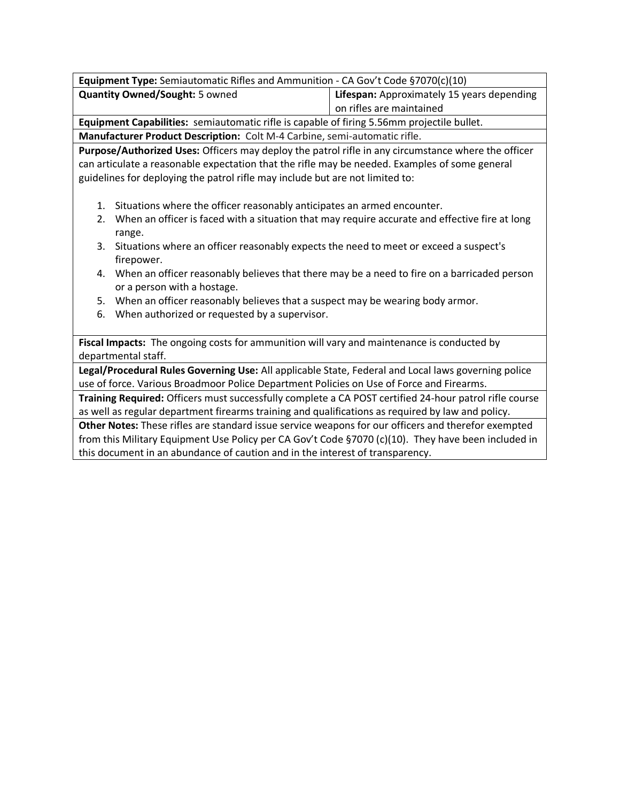| Equipment Type: Semiautomatic Rifles and Ammunition - CA Gov't Code §7070(c)(10)                       |                                                                                                |  |  |
|--------------------------------------------------------------------------------------------------------|------------------------------------------------------------------------------------------------|--|--|
| <b>Quantity Owned/Sought: 5 owned</b>                                                                  | Lifespan: Approximately 15 years depending                                                     |  |  |
|                                                                                                        | on rifles are maintained                                                                       |  |  |
| Equipment Capabilities: semiautomatic rifle is capable of firing 5.56mm projectile bullet.             |                                                                                                |  |  |
| Manufacturer Product Description: Colt M-4 Carbine, semi-automatic rifle.                              |                                                                                                |  |  |
| Purpose/Authorized Uses: Officers may deploy the patrol rifle in any circumstance where the officer    |                                                                                                |  |  |
| can articulate a reasonable expectation that the rifle may be needed. Examples of some general         |                                                                                                |  |  |
| guidelines for deploying the patrol rifle may include but are not limited to:                          |                                                                                                |  |  |
|                                                                                                        |                                                                                                |  |  |
| Situations where the officer reasonably anticipates an armed encounter.<br>1.                          |                                                                                                |  |  |
| 2.                                                                                                     | When an officer is faced with a situation that may require accurate and effective fire at long |  |  |
| range.                                                                                                 |                                                                                                |  |  |
| Situations where an officer reasonably expects the need to meet or exceed a suspect's<br>3.            |                                                                                                |  |  |
| firepower.                                                                                             |                                                                                                |  |  |
| When an officer reasonably believes that there may be a need to fire on a barricaded person<br>4.      |                                                                                                |  |  |
| or a person with a hostage.                                                                            |                                                                                                |  |  |
| When an officer reasonably believes that a suspect may be wearing body armor.<br>5.                    |                                                                                                |  |  |
| When authorized or requested by a supervisor.<br>6.                                                    |                                                                                                |  |  |
|                                                                                                        |                                                                                                |  |  |
| Fiscal Impacts: The ongoing costs for ammunition will vary and maintenance is conducted by             |                                                                                                |  |  |
| departmental staff.                                                                                    |                                                                                                |  |  |
| Legal/Procedural Rules Governing Use: All applicable State, Federal and Local laws governing police    |                                                                                                |  |  |
| use of force. Various Broadmoor Police Department Policies on Use of Force and Firearms.               |                                                                                                |  |  |
| Training Required: Officers must successfully complete a CA POST certified 24-hour patrol rifle course |                                                                                                |  |  |
| as well as regular department firearms training and qualifications as required by law and policy.      |                                                                                                |  |  |
| Other Notes: These rifles are standard issue service weapons for our officers and therefor exempted    |                                                                                                |  |  |
| from this Military Equipment Use Policy per CA Gov't Code §7070 (c)(10). They have been included in    |                                                                                                |  |  |
| this document in an abundance of caution and in the interest of transparency.                          |                                                                                                |  |  |
|                                                                                                        |                                                                                                |  |  |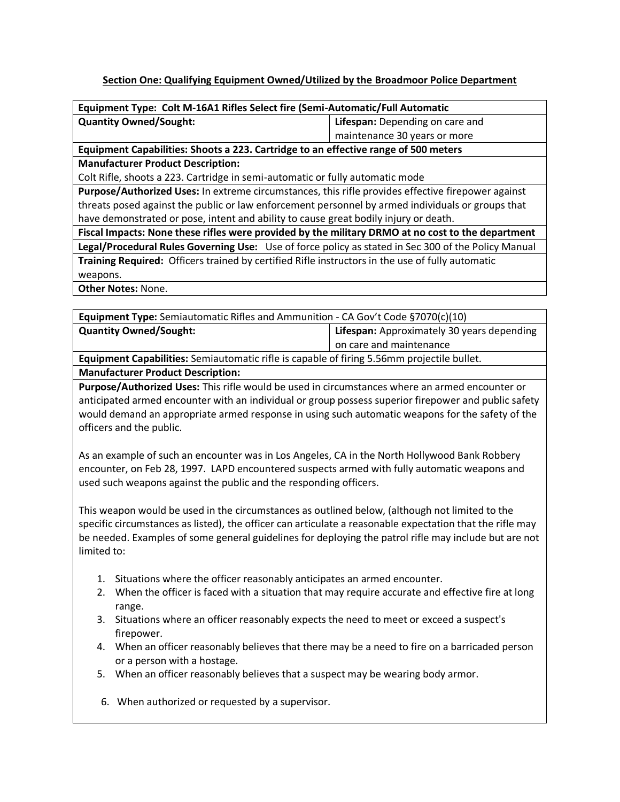#### **Section One: Qualifying Equipment Owned/Utilized by the Broadmoor Police Department**

| Equipment Type: Colt M-16A1 Rifles Select fire (Semi-Automatic/Full Automatic                       |                                 |  |
|-----------------------------------------------------------------------------------------------------|---------------------------------|--|
| <b>Quantity Owned/Sought:</b>                                                                       | Lifespan: Depending on care and |  |
|                                                                                                     | maintenance 30 years or more    |  |
| Equipment Capabilities: Shoots a 223. Cartridge to an effective range of 500 meters                 |                                 |  |
| <b>Manufacturer Product Description:</b>                                                            |                                 |  |
| Colt Rifle, shoots a 223. Cartridge in semi-automatic or fully automatic mode                       |                                 |  |
| Purpose/Authorized Uses: In extreme circumstances, this rifle provides effective firepower against  |                                 |  |
| threats posed against the public or law enforcement personnel by armed individuals or groups that   |                                 |  |
| have demonstrated or pose, intent and ability to cause great bodily injury or death.                |                                 |  |
| Fiscal Impacts: None these rifles were provided by the military DRMO at no cost to the department   |                                 |  |
| Legal/Procedural Rules Governing Use: Use of force policy as stated in Sec 300 of the Policy Manual |                                 |  |
| Training Required: Officers trained by certified Rifle instructors in the use of fully automatic    |                                 |  |
| weapons.                                                                                            |                                 |  |
| <b>Other Notes: None.</b>                                                                           |                                 |  |

| <b>Equipment Type:</b> Semiautomatic Rifles and Ammunition - CA Gov't Code $\S7070(c)(10)$ |                                            |  |
|--------------------------------------------------------------------------------------------|--------------------------------------------|--|
| <b>Quantity Owned/Sought:</b>                                                              | Lifespan: Approximately 30 years depending |  |
|                                                                                            | on care and maintenance                    |  |
| Equipment Capabilities: Semiautomatic rifle is capable of firing 5.56mm projectile bullet. |                                            |  |
| <b>Manufacturer Product Description:</b>                                                   |                                            |  |

**Purpose/Authorized Uses:** This rifle would be used in circumstances where an armed encounter or anticipated armed encounter with an individual or group possess superior firepower and public safety would demand an appropriate armed response in using such automatic weapons for the safety of the officers and the public.

As an example of such an encounter was in Los Angeles, CA in the North Hollywood Bank Robbery encounter, on Feb 28, 1997. LAPD encountered suspects armed with fully automatic weapons and used such weapons against the public and the responding officers.

This weapon would be used in the circumstances as outlined below, (although not limited to the specific circumstances as listed), the officer can articulate a reasonable expectation that the rifle may be needed. Examples of some general guidelines for deploying the patrol rifle may include but are not limited to:

- 1. Situations where the officer reasonably anticipates an armed encounter.
- 2. When the officer is faced with a situation that may require accurate and effective fire at long range.
- 3. Situations where an officer reasonably expects the need to meet or exceed a suspect's firepower.
- 4. When an officer reasonably believes that there may be a need to fire on a barricaded person or a person with a hostage.
- 5. When an officer reasonably believes that a suspect may be wearing body armor.
- 6. When authorized or requested by a supervisor.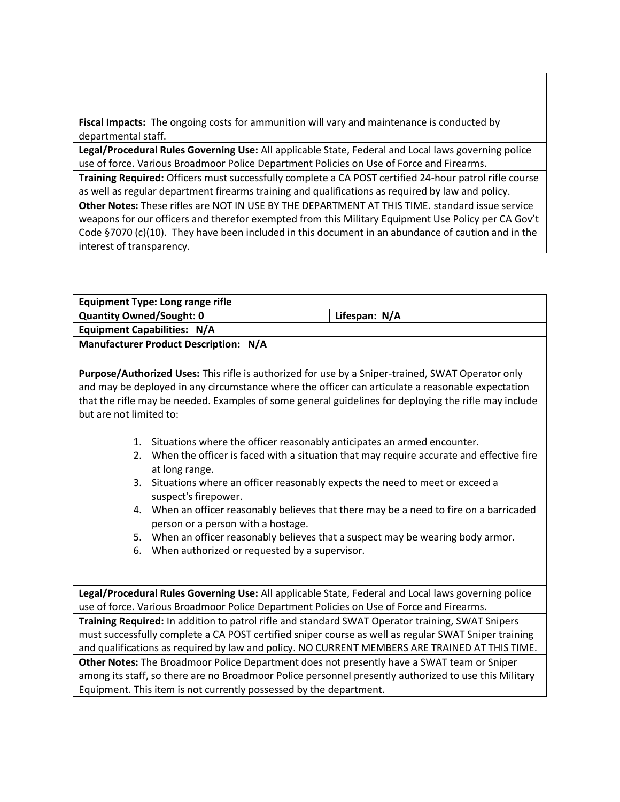**Fiscal Impacts:** The ongoing costs for ammunition will vary and maintenance is conducted by departmental staff.

**Legal/Procedural Rules Governing Use:** All applicable State, Federal and Local laws governing police use of force. Various Broadmoor Police Department Policies on Use of Force and Firearms.

**Training Required:** Officers must successfully complete a CA POST certified 24-hour patrol rifle course as well as regular department firearms training and qualifications as required by law and policy.

**Other Notes:** These rifles are NOT IN USE BY THE DEPARTMENT AT THIS TIME. standard issue service weapons for our officers and therefor exempted from this Military Equipment Use Policy per CA Gov't Code §7070 (c)(10). They have been included in this document in an abundance of caution and in the interest of transparency.

|                                 |                | <b>Equipment Type: Long range rifle</b>                                                  |                                                                                                       |  |
|---------------------------------|----------------|------------------------------------------------------------------------------------------|-------------------------------------------------------------------------------------------------------|--|
| <b>Quantity Owned/Sought: 0</b> |                |                                                                                          | Lifespan: N/A                                                                                         |  |
|                                 |                | <b>Equipment Capabilities: N/A</b>                                                       |                                                                                                       |  |
|                                 |                | <b>Manufacturer Product Description: N/A</b>                                             |                                                                                                       |  |
|                                 |                |                                                                                          |                                                                                                       |  |
|                                 |                |                                                                                          | Purpose/Authorized Uses: This rifle is authorized for use by a Sniper-trained, SWAT Operator only     |  |
|                                 |                |                                                                                          | and may be deployed in any circumstance where the officer can articulate a reasonable expectation     |  |
|                                 |                |                                                                                          | that the rifle may be needed. Examples of some general guidelines for deploying the rifle may include |  |
| but are not limited to:         |                |                                                                                          |                                                                                                       |  |
|                                 | 1.             | Situations where the officer reasonably anticipates an armed encounter.                  |                                                                                                       |  |
|                                 | 2.             | When the officer is faced with a situation that may require accurate and effective fire  |                                                                                                       |  |
|                                 | at long range. |                                                                                          |                                                                                                       |  |
|                                 |                | 3. Situations where an officer reasonably expects the need to meet or exceed a           |                                                                                                       |  |
|                                 |                | suspect's firepower.                                                                     |                                                                                                       |  |
|                                 |                |                                                                                          | 4. When an officer reasonably believes that there may be a need to fire on a barricaded               |  |
|                                 |                | person or a person with a hostage.                                                       |                                                                                                       |  |
|                                 |                |                                                                                          | 5. When an officer reasonably believes that a suspect may be wearing body armor.                      |  |
|                                 | 6.             | When authorized or requested by a supervisor.                                            |                                                                                                       |  |
|                                 |                |                                                                                          |                                                                                                       |  |
|                                 |                |                                                                                          |                                                                                                       |  |
|                                 |                |                                                                                          | Legal/Procedural Rules Governing Use: All applicable State, Federal and Local laws governing police   |  |
|                                 |                | use of force. Various Broadmoor Police Department Policies on Use of Force and Firearms. |                                                                                                       |  |
|                                 |                |                                                                                          | Training Required: In addition to patrol rifle and standard SWAT Operator training, SWAT Snipers      |  |
|                                 |                |                                                                                          | must successfully complete a CA POST certified sniper course as well as regular SWAT Sniper training  |  |
|                                 |                |                                                                                          | and qualifications as required by law and policy. NO CURRENT MEMBERS ARE TRAINED AT THIS TIME.        |  |
|                                 |                |                                                                                          | Other Notes: The Broadmoor Police Department does not presently have a SWAT team or Sniper            |  |
|                                 |                |                                                                                          | among its staff, so there are no Broadmoor Police personnel presently authorized to use this Military |  |
|                                 |                | Equipment. This item is not currently possessed by the department.                       |                                                                                                       |  |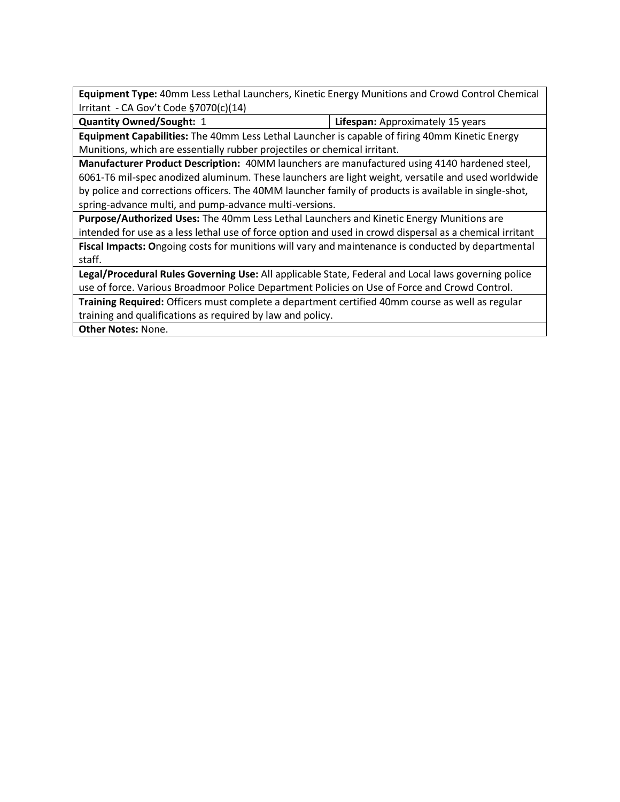**Equipment Type:** 40mm Less Lethal Launchers, Kinetic Energy Munitions and Crowd Control Chemical Irritant - CA Gov't Code §7070(c)(14)

**Quantity Owned/Sought:** 1 **Lifespan:** Approximately 15 years

**Equipment Capabilities:** The 40mm Less Lethal Launcher is capable of firing 40mm Kinetic Energy Munitions, which are essentially rubber projectiles or chemical irritant.

**Manufacturer Product Description:** 40MM launchers are manufactured using 4140 hardened steel, 6061-T6 mil-spec anodized aluminum. These launchers are light weight, versatile and used worldwide by police and corrections officers. The 40MM launcher family of products is available in single-shot, spring-advance multi, and pump-advance multi-versions.

**Purpose/Authorized Uses:** The 40mm Less Lethal Launchers and Kinetic Energy Munitions are intended for use as a less lethal use of force option and used in crowd dispersal as a chemical irritant

**Fiscal Impacts: O**ngoing costs for munitions will vary and maintenance is conducted by departmental staff.

**Legal/Procedural Rules Governing Use:** All applicable State, Federal and Local laws governing police use of force. Various Broadmoor Police Department Policies on Use of Force and Crowd Control.

**Training Required:** Officers must complete a department certified 40mm course as well as regular training and qualifications as required by law and policy.

**Other Notes:** None.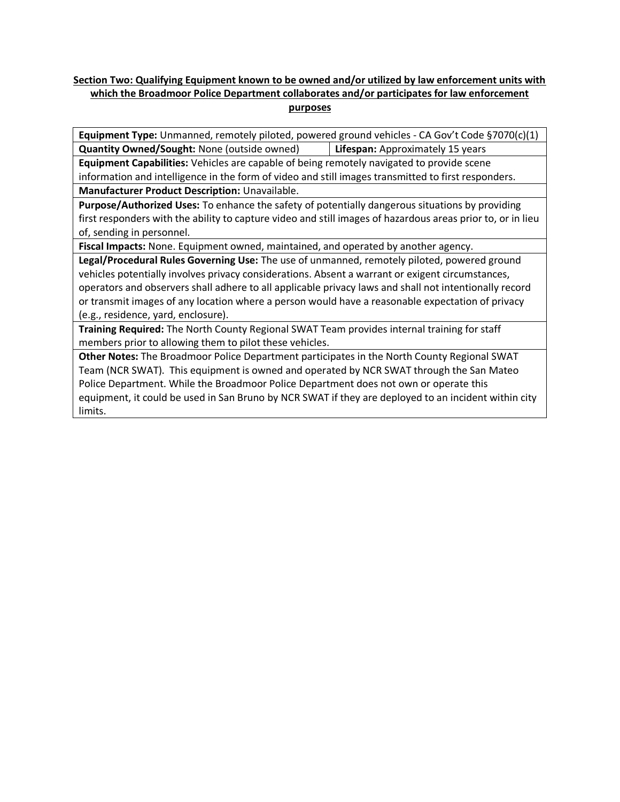#### **Section Two: Qualifying Equipment known to be owned and/or utilized by law enforcement units with which the Broadmoor Police Department collaborates and/or participates for law enforcement purposes**

**Equipment Type:** Unmanned, remotely piloted, powered ground vehicles - CA Gov't Code §7070(c)(1) **Quantity Owned/Sought:** None (outside owned) **Lifespan:** Approximately 15 years

**Equipment Capabilities:** Vehicles are capable of being remotely navigated to provide scene

information and intelligence in the form of video and still images transmitted to first responders. **Manufacturer Product Description:** Unavailable.

**Purpose/Authorized Uses:** To enhance the safety of potentially dangerous situations by providing first responders with the ability to capture video and still images of hazardous areas prior to, or in lieu of, sending in personnel.

**Fiscal Impacts:** None. Equipment owned, maintained, and operated by another agency.

**Legal/Procedural Rules Governing Use:** The use of unmanned, remotely piloted, powered ground vehicles potentially involves privacy considerations. Absent a warrant or exigent circumstances, operators and observers shall adhere to all applicable privacy laws and shall not intentionally record or transmit images of any location where a person would have a reasonable expectation of privacy (e.g., residence, yard, enclosure).

**Training Required:** The North County Regional SWAT Team provides internal training for staff members prior to allowing them to pilot these vehicles.

**Other Notes:** The Broadmoor Police Department participates in the North County Regional SWAT Team (NCR SWAT). This equipment is owned and operated by NCR SWAT through the San Mateo Police Department. While the Broadmoor Police Department does not own or operate this equipment, it could be used in San Bruno by NCR SWAT if they are deployed to an incident within city limits.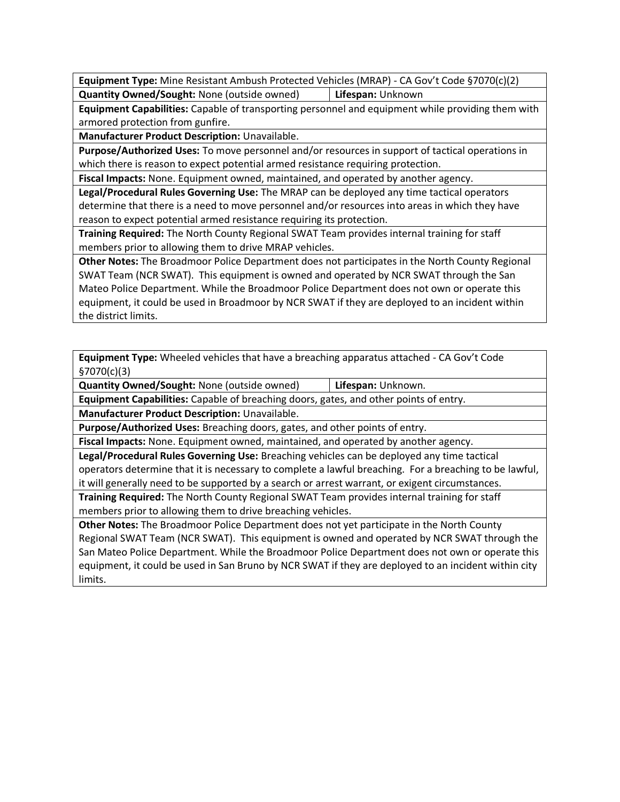**Equipment Type:** Mine Resistant Ambush Protected Vehicles (MRAP) - CA Gov't Code §7070(c)(2) **Quantity Owned/Sought:** None (outside owned) **Lifespan:** Unknown

**Equipment Capabilities:** Capable of transporting personnel and equipment while providing them with armored protection from gunfire.

**Manufacturer Product Description:** Unavailable.

**Purpose/Authorized Uses:** To move personnel and/or resources in support of tactical operations in which there is reason to expect potential armed resistance requiring protection.

**Fiscal Impacts:** None. Equipment owned, maintained, and operated by another agency.

**Legal/Procedural Rules Governing Use:** The MRAP can be deployed any time tactical operators determine that there is a need to move personnel and/or resources into areas in which they have reason to expect potential armed resistance requiring its protection.

**Training Required:** The North County Regional SWAT Team provides internal training for staff members prior to allowing them to drive MRAP vehicles.

**Other Notes:** The Broadmoor Police Department does not participates in the North County Regional SWAT Team (NCR SWAT). This equipment is owned and operated by NCR SWAT through the San Mateo Police Department. While the Broadmoor Police Department does not own or operate this equipment, it could be used in Broadmoor by NCR SWAT if they are deployed to an incident within the district limits.

**Equipment Type:** Wheeled vehicles that have a breaching apparatus attached - CA Gov't Code §7070(c)(3)

**Quantity Owned/Sought:** None (outside owned) **Lifespan:** Unknown.

**Equipment Capabilities:** Capable of breaching doors, gates, and other points of entry. **Manufacturer Product Description:** Unavailable.

**Purpose/Authorized Uses:** Breaching doors, gates, and other points of entry.

**Fiscal Impacts:** None. Equipment owned, maintained, and operated by another agency.

**Legal/Procedural Rules Governing Use:** Breaching vehicles can be deployed any time tactical operators determine that it is necessary to complete a lawful breaching. For a breaching to be lawful, it will generally need to be supported by a search or arrest warrant, or exigent circumstances.

**Training Required:** The North County Regional SWAT Team provides internal training for staff members prior to allowing them to drive breaching vehicles.

**Other Notes:** The Broadmoor Police Department does not yet participate in the North County Regional SWAT Team (NCR SWAT). This equipment is owned and operated by NCR SWAT through the San Mateo Police Department. While the Broadmoor Police Department does not own or operate this equipment, it could be used in San Bruno by NCR SWAT if they are deployed to an incident within city limits.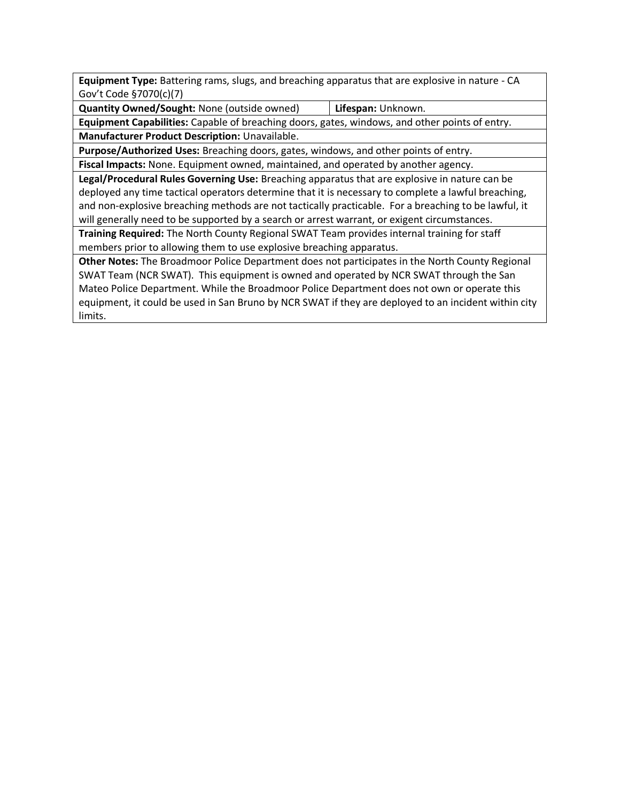**Equipment Type:** Battering rams, slugs, and breaching apparatus that are explosive in nature - CA Gov't Code §7070(c)(7)

**Quantity Owned/Sought:** None (outside owned) **Lifespan:** Unknown.

**Equipment Capabilities:** Capable of breaching doors, gates, windows, and other points of entry.

**Manufacturer Product Description:** Unavailable.

**Purpose/Authorized Uses:** Breaching doors, gates, windows, and other points of entry.

**Fiscal Impacts:** None. Equipment owned, maintained, and operated by another agency.

**Legal/Procedural Rules Governing Use:** Breaching apparatus that are explosive in nature can be deployed any time tactical operators determine that it is necessary to complete a lawful breaching, and non-explosive breaching methods are not tactically practicable. For a breaching to be lawful, it will generally need to be supported by a search or arrest warrant, or exigent circumstances.

**Training Required:** The North County Regional SWAT Team provides internal training for staff members prior to allowing them to use explosive breaching apparatus.

**Other Notes:** The Broadmoor Police Department does not participates in the North County Regional SWAT Team (NCR SWAT). This equipment is owned and operated by NCR SWAT through the San Mateo Police Department. While the Broadmoor Police Department does not own or operate this equipment, it could be used in San Bruno by NCR SWAT if they are deployed to an incident within city limits.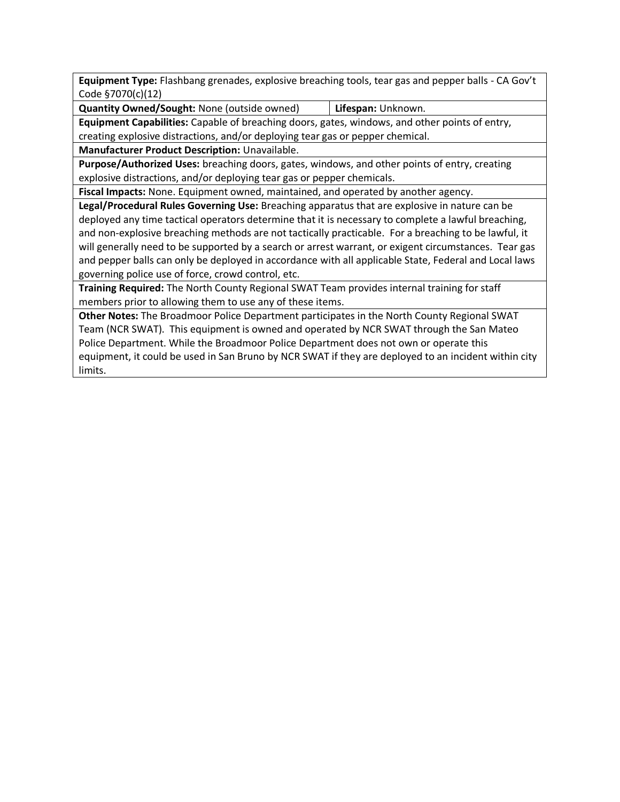**Equipment Type:** Flashbang grenades, explosive breaching tools, tear gas and pepper balls - CA Gov't Code §7070(c)(12)

**Quantity Owned/Sought:** None (outside owned) **Lifespan:** Unknown.

**Equipment Capabilities:** Capable of breaching doors, gates, windows, and other points of entry, creating explosive distractions, and/or deploying tear gas or pepper chemical.

**Manufacturer Product Description:** Unavailable.

**Purpose/Authorized Uses:** breaching doors, gates, windows, and other points of entry, creating explosive distractions, and/or deploying tear gas or pepper chemicals.

**Fiscal Impacts:** None. Equipment owned, maintained, and operated by another agency.

**Legal/Procedural Rules Governing Use:** Breaching apparatus that are explosive in nature can be deployed any time tactical operators determine that it is necessary to complete a lawful breaching, and non-explosive breaching methods are not tactically practicable. For a breaching to be lawful, it will generally need to be supported by a search or arrest warrant, or exigent circumstances. Tear gas and pepper balls can only be deployed in accordance with all applicable State, Federal and Local laws governing police use of force, crowd control, etc.

**Training Required:** The North County Regional SWAT Team provides internal training for staff members prior to allowing them to use any of these items.

**Other Notes:** The Broadmoor Police Department participates in the North County Regional SWAT Team (NCR SWAT). This equipment is owned and operated by NCR SWAT through the San Mateo Police Department. While the Broadmoor Police Department does not own or operate this equipment, it could be used in San Bruno by NCR SWAT if they are deployed to an incident within city limits.